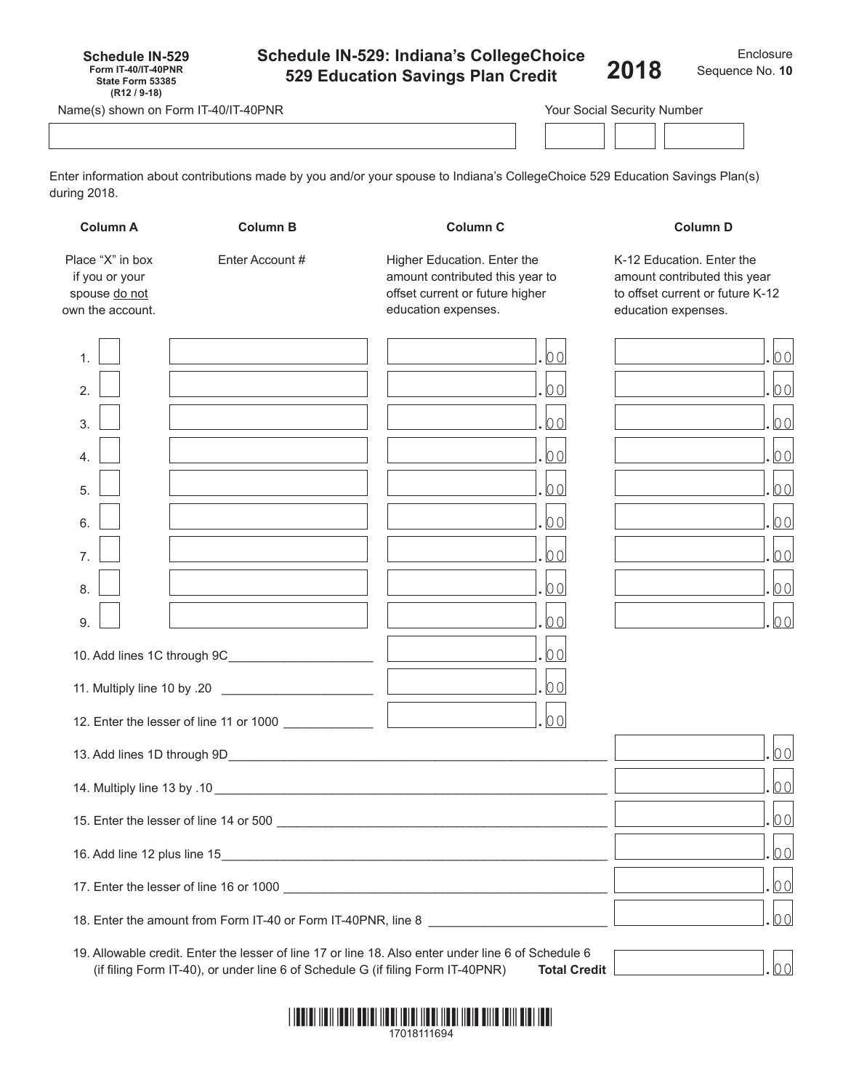| <b>Schedule IN-529</b>     |  |
|----------------------------|--|
| <b>Form IT-40/IT-40PNR</b> |  |
| State Form 53385           |  |
| $(R12/9-18)$               |  |

# **Schedule IN-529: Indiana's CollegeChoice 529 Education Savings Plan Credit**

Name(s) shown on Form IT-40/IT-40PNR

Enter information about contributions made by you and/or your spouse to Indiana's CollegeChoice 529 Education Savings Plan(s) during 2018.

| <b>Column A</b>                                                         | <b>Column B</b>                                                                 | <b>Column C</b>                                                                                                                                                                                                                      | <b>Column D</b><br>K-12 Education. Enter the<br>amount contributed this year<br>to offset current or future K-12<br>education expenses. |  |
|-------------------------------------------------------------------------|---------------------------------------------------------------------------------|--------------------------------------------------------------------------------------------------------------------------------------------------------------------------------------------------------------------------------------|-----------------------------------------------------------------------------------------------------------------------------------------|--|
| Place "X" in box<br>if you or your<br>spouse do not<br>own the account. | Enter Account #                                                                 | Higher Education. Enter the<br>amount contributed this year to<br>offset current or future higher<br>education expenses.                                                                                                             |                                                                                                                                         |  |
| $\mathbf 1$                                                             |                                                                                 | 00                                                                                                                                                                                                                                   | 00                                                                                                                                      |  |
| 2.                                                                      |                                                                                 | $ 00\rangle$                                                                                                                                                                                                                         | lool                                                                                                                                    |  |
| 3.                                                                      |                                                                                 | $ 00\rangle$                                                                                                                                                                                                                         | lool                                                                                                                                    |  |
| $\overline{\mathcal{A}}$ .                                              |                                                                                 | $ 00\rangle$                                                                                                                                                                                                                         | lool                                                                                                                                    |  |
| 5.                                                                      |                                                                                 | $ 00\rangle$                                                                                                                                                                                                                         | lo ol                                                                                                                                   |  |
| 6.                                                                      |                                                                                 | $ 00\rangle$                                                                                                                                                                                                                         | lo ol                                                                                                                                   |  |
| 7 <sub>1</sub>                                                          |                                                                                 | $ 00\rangle$                                                                                                                                                                                                                         | lo ol                                                                                                                                   |  |
| 8.                                                                      |                                                                                 | $ 00\rangle$                                                                                                                                                                                                                         | 00                                                                                                                                      |  |
| 9.                                                                      |                                                                                 | $ 00\rangle$                                                                                                                                                                                                                         | lo ol                                                                                                                                   |  |
|                                                                         |                                                                                 | 0 <sup>0</sup>                                                                                                                                                                                                                       |                                                                                                                                         |  |
|                                                                         |                                                                                 |                                                                                                                                                                                                                                      |                                                                                                                                         |  |
|                                                                         | 12. Enter the lesser of line 11 or 1000                                         | 00                                                                                                                                                                                                                                   |                                                                                                                                         |  |
|                                                                         |                                                                                 | 13. Add lines 1D through 9D <b>Constanting the Constantine Constantine Constanting Constanting Constanting Constanting Constanting Constanting Constanting Constanting Constanting Constanting Constanting Constanting Constanti</b> | lo ol                                                                                                                                   |  |
|                                                                         | lo ol                                                                           |                                                                                                                                                                                                                                      |                                                                                                                                         |  |
|                                                                         | 00                                                                              |                                                                                                                                                                                                                                      |                                                                                                                                         |  |
|                                                                         | 00                                                                              |                                                                                                                                                                                                                                      |                                                                                                                                         |  |
|                                                                         | 00                                                                              |                                                                                                                                                                                                                                      |                                                                                                                                         |  |
|                                                                         | 00                                                                              |                                                                                                                                                                                                                                      |                                                                                                                                         |  |
|                                                                         | (if filing Form IT-40), or under line 6 of Schedule G (if filing Form IT-40PNR) | 19. Allowable credit. Enter the lesser of line 17 or line 18. Also enter under line 6 of Schedule 6<br><b>Total Credit</b>                                                                                                           | $ 00\rangle$                                                                                                                            |  |

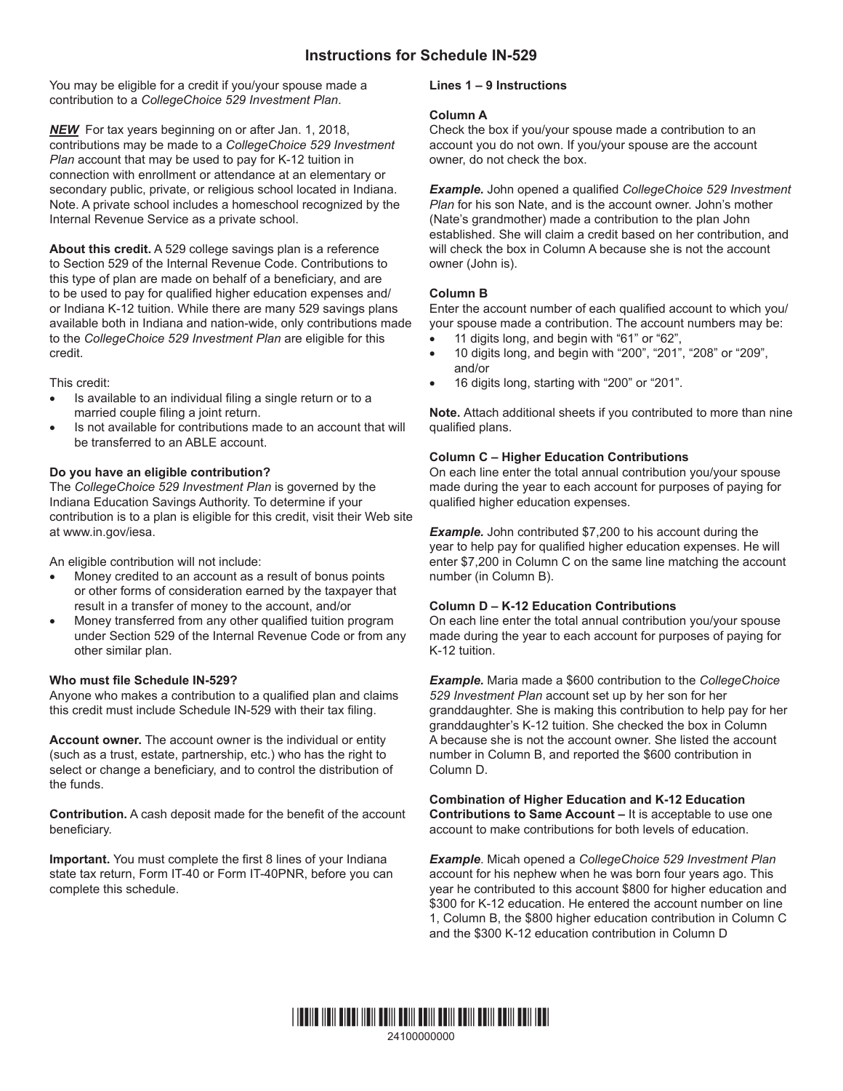You may be eligible for a credit if you/your spouse made a contribution to a *CollegeChoice 529 Investment Plan*.

*NEW* For tax years beginning on or after Jan. 1, 2018, contributions may be made to a *CollegeChoice 529 Investment Plan* account that may be used to pay for K-12 tuition in connection with enrollment or attendance at an elementary or secondary public, private, or religious school located in Indiana. Note. A private school includes a homeschool recognized by the Internal Revenue Service as a private school.

**About this credit.** A 529 college savings plan is a reference to Section 529 of the Internal Revenue Code. Contributions to this type of plan are made on behalf of a beneficiary, and are to be used to pay for qualified higher education expenses and/ or Indiana K-12 tuition. While there are many 529 savings plans available both in Indiana and nation-wide, only contributions made to the *CollegeChoice 529 Investment Plan* are eligible for this credit.

This credit:

- Is available to an individual filing a single return or to a married couple filing a joint return.
- Is not available for contributions made to an account that will be transferred to an ABLE account.

# **Do you have an eligible contribution?**

The *CollegeChoice 529 Investment Plan* is governed by the In[diana Education S](http://www.in.gov/iesa)avings Authority. To determine if your contribution is to a plan is eligible for this credit, visit their Web site at www.in.gov/iesa.

An eligible contribution will not include:

- Money credited to an account as a result of bonus points or other forms of consideration earned by the taxpayer that result in a transfer of money to the account, and/or
- Money transferred from any other qualified tuition program under Section 529 of the Internal Revenue Code or from any other similar plan.

## **Who must file Schedule IN-529?**

Anyone who makes a contribution to a qualified plan and claims this credit must include Schedule IN-529 with their tax filing.

**Account owner.** The account owner is the individual or entity (such as a trust, estate, partnership, etc.) who has the right to select or change a beneficiary, and to control the distribution of the funds.

**Contribution.** A cash deposit made for the benefit of the account beneficiary.

**Important.** You must complete the first 8 lines of your Indiana state tax return, Form IT-40 or Form IT-40PNR, before you can complete this schedule.

## **Lines 1 – 9 Instructions**

#### **Column A**

Check the box if you/your spouse made a contribution to an account you do not own. If you/your spouse are the account owner, do not check the box.

*Example.* John opened a qualified *CollegeChoice 529 Investment Plan* for his son Nate, and is the account owner. John's mother (Nate's grandmother) made a contribution to the plan John established. She will claim a credit based on her contribution, and will check the box in Column A because she is not the account owner (John is).

## **Column B**

Enter the account number of each qualified account to which you/ your spouse made a contribution. The account numbers may be:

- 11 digits long, and begin with "61" or "62",
- 10 digits long, and begin with "200", "201", "208" or "209", and/or
- 16 digits long, starting with "200" or "201".

**Note.** Attach additional sheets if you contributed to more than nine qualified plans.

## **Column C – Higher Education Contributions**

On each line enter the total annual contribution you/your spouse made during the year to each account for purposes of paying for qualified higher education expenses.

**Example.** John contributed \$7,200 to his account during the year to help pay for qualified higher education expenses. He will enter \$7,200 in Column C on the same line matching the account number (in Column B).

## **Column D – K-12 Education Contributions**

On each line enter the total annual contribution you/your spouse made during the year to each account for purposes of paying for K-12 tuition.

*Example.* Maria made a \$600 contribution to the *CollegeChoice 529 Investment Plan* account set up by her son for her granddaughter. She is making this contribution to help pay for her granddaughter's K-12 tuition. She checked the box in Column A because she is not the account owner. She listed the account number in Column B, and reported the \$600 contribution in Column D.

#### **Combination of Higher Education and K-12 Education Contributions to Same Account –** It is acceptable to use one account to make contributions for both levels of education.

*Example*. Micah opened a *CollegeChoice 529 Investment Plan* account for his nephew when he was born four years ago. This year he contributed to this account \$800 for higher education and \$300 for K-12 education. He entered the account number on line 1, Column B, the \$800 higher education contribution in Column C and the \$300 K-12 education contribution in Column D